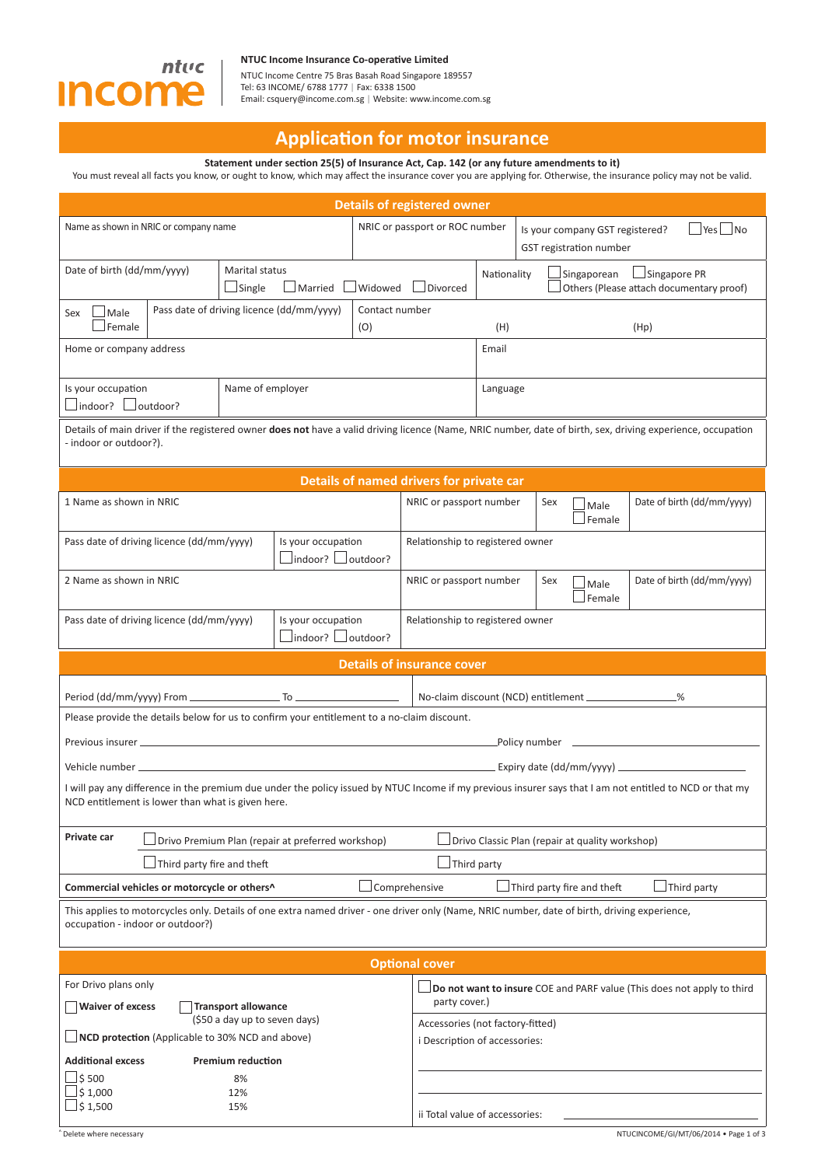

## **NTUC Income Insurance Co-operati ve Limited**

NTUC Income Centre 75 Bras Basah Road Singapore 189557 Tel: 63 INCOME/ 6788 1777 | Fax: 6338 1500 Email: csquery@income.com.sg | Website: www.income.com.sg

# **Applicati on for motor insurance**

**Statement under secti on 25(5) of Insurance Act, Cap. 142 (or any future amendments to it)**

You must reveal all facts you know, or ought to know, which may affect the insurance cover you are applying for. Otherwise, the insurance policy may not be valid.

| <b>Details of registered owner</b>                                                                                                                                                                            |                                           |         |                                |                                                                   |                                                  |                                                                                    |                    |                                                                        |
|---------------------------------------------------------------------------------------------------------------------------------------------------------------------------------------------------------------|-------------------------------------------|---------|--------------------------------|-------------------------------------------------------------------|--------------------------------------------------|------------------------------------------------------------------------------------|--------------------|------------------------------------------------------------------------|
| Name as shown in NRIC or company name                                                                                                                                                                         |                                           |         | NRIC or passport or ROC number |                                                                   |                                                  | $\Box$ Yes $\Box$ No<br>Is your company GST registered?<br>GST registration number |                    |                                                                        |
| Date of birth (dd/mm/yyyy)                                                                                                                                                                                    | Marital status<br>$\Box$ Single           | Married |                                | $\Box$ Widowed $\Box$ Divorced                                    | Nationality                                      |                                                                                    | $\Box$ Singaporean | Singapore PR<br>Others (Please attach documentary proof)               |
| Male<br>Sex<br>Female                                                                                                                                                                                         | Pass date of driving licence (dd/mm/yyyy) |         | (O)                            | Contact number<br>(H)                                             |                                                  |                                                                                    | (Hp)               |                                                                        |
| Home or company address                                                                                                                                                                                       |                                           |         |                                | Email                                                             |                                                  |                                                                                    |                    |                                                                        |
| Is your occupation<br>Name of employer<br>$\Box$ indoor? $\Box$ outdoor?                                                                                                                                      |                                           |         |                                |                                                                   | Language                                         |                                                                                    |                    |                                                                        |
| Details of main driver if the registered owner does not have a valid driving licence (Name, NRIC number, date of birth, sex, driving experience, occupation<br>- indoor or outdoor?).                         |                                           |         |                                |                                                                   |                                                  |                                                                                    |                    |                                                                        |
|                                                                                                                                                                                                               |                                           |         |                                | Details of named drivers for private car                          |                                                  |                                                                                    |                    |                                                                        |
| 1 Name as shown in NRIC                                                                                                                                                                                       |                                           |         |                                |                                                                   | NRIC or passport number<br>Sex<br>Male<br>Female |                                                                                    |                    | Date of birth (dd/mm/yyyy)                                             |
| Pass date of driving licence (dd/mm/yyyy)<br>Is your occupation<br>Jindoor? □outdoor?                                                                                                                         |                                           |         |                                | Relationship to registered owner                                  |                                                  |                                                                                    |                    |                                                                        |
| 2 Name as shown in NRIC                                                                                                                                                                                       |                                           |         |                                | NRIC or passport number<br>Sex<br>Male<br>Female                  |                                                  | Date of birth (dd/mm/yyyy)                                                         |                    |                                                                        |
| Is your occupation<br>Pass date of driving licence (dd/mm/yyyy)<br>$\Box$ indoor? $\Box$ outdoor?                                                                                                             |                                           |         |                                | Relationship to registered owner                                  |                                                  |                                                                                    |                    |                                                                        |
|                                                                                                                                                                                                               |                                           |         |                                | <b>Details of insurance cover</b>                                 |                                                  |                                                                                    |                    |                                                                        |
| -%                                                                                                                                                                                                            |                                           |         |                                |                                                                   |                                                  |                                                                                    |                    |                                                                        |
| Please provide the details below for us to confirm your entitlement to a no-claim discount.                                                                                                                   |                                           |         |                                |                                                                   |                                                  |                                                                                    |                    |                                                                        |
|                                                                                                                                                                                                               |                                           |         |                                |                                                                   |                                                  |                                                                                    |                    |                                                                        |
|                                                                                                                                                                                                               |                                           |         |                                |                                                                   |                                                  |                                                                                    |                    |                                                                        |
| I will pay any difference in the premium due under the policy issued by NTUC Income if my previous insurer says that I am not entitled to NCD or that my<br>NCD entitlement is lower than what is given here. |                                           |         |                                |                                                                   |                                                  |                                                                                    |                    |                                                                        |
| Private car<br>Drivo Premium Plan (repair at preferred workshop)<br>Drivo Classic Plan (repair at quality workshop)                                                                                           |                                           |         |                                |                                                                   |                                                  |                                                                                    |                    |                                                                        |
| Third party fire and theft<br>Third party                                                                                                                                                                     |                                           |         |                                |                                                                   |                                                  |                                                                                    |                    |                                                                        |
| $\perp$ Comprehensive<br>$\Box$ Third party fire and theft<br>Third party<br>Commercial vehicles or motorcycle or others^                                                                                     |                                           |         |                                |                                                                   |                                                  |                                                                                    |                    |                                                                        |
| This applies to motorcycles only. Details of one extra named driver - one driver only (Name, NRIC number, date of birth, driving experience,<br>occupation - indoor or outdoor?)                              |                                           |         |                                |                                                                   |                                                  |                                                                                    |                    |                                                                        |
| <b>Optional cover</b>                                                                                                                                                                                         |                                           |         |                                |                                                                   |                                                  |                                                                                    |                    |                                                                        |
| For Drivo plans only<br>party cover.)<br><b>Waiver of excess</b><br><b>Transport allowance</b>                                                                                                                |                                           |         |                                |                                                                   |                                                  |                                                                                    |                    | Do not want to insure COE and PARF value (This does not apply to third |
| (\$50 a day up to seven days)<br>NCD protection (Applicable to 30% NCD and above)                                                                                                                             |                                           |         |                                | Accessories (not factory-fitted)<br>i Description of accessories: |                                                  |                                                                                    |                    |                                                                        |
|                                                                                                                                                                                                               |                                           |         |                                |                                                                   |                                                  |                                                                                    |                    |                                                                        |
|                                                                                                                                                                                                               |                                           |         |                                |                                                                   |                                                  |                                                                                    |                    |                                                                        |
| <b>Additional excess</b><br>\$500<br>\$1,000                                                                                                                                                                  | <b>Premium reduction</b><br>8%            |         |                                |                                                                   |                                                  |                                                                                    |                    |                                                                        |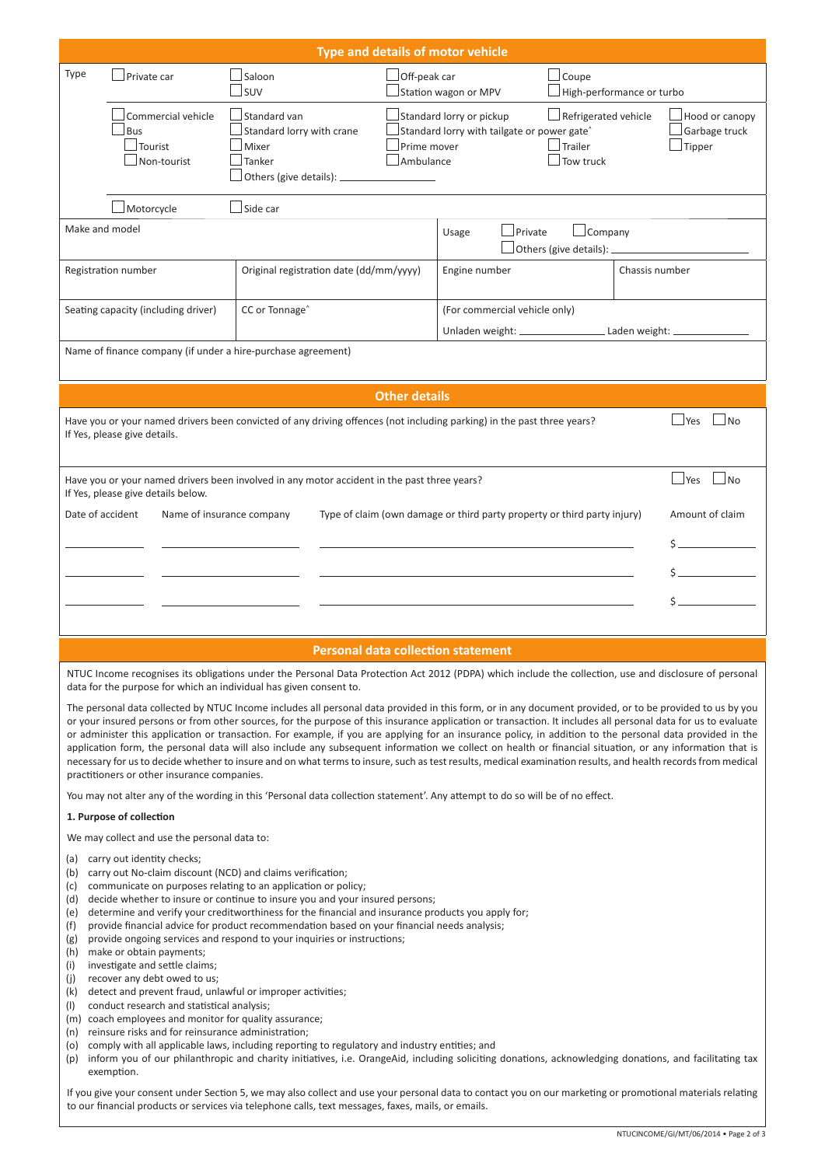|                                           |                                                                                                                                                        |                                 | Type and details of motor vehicle                                                                                                                                                                                                                             |                               |                                                        |                                                                                                                                                        |  |
|-------------------------------------------|--------------------------------------------------------------------------------------------------------------------------------------------------------|---------------------------------|---------------------------------------------------------------------------------------------------------------------------------------------------------------------------------------------------------------------------------------------------------------|-------------------------------|--------------------------------------------------------|--------------------------------------------------------------------------------------------------------------------------------------------------------|--|
| Type                                      | $\Box$ Private car                                                                                                                                     | Saloon<br>SUV                   | $\Box$ Off-peak car<br>Station wagon or MPV                                                                                                                                                                                                                   |                               | $\Box$ Coupe                                           | High-performance or turbo                                                                                                                              |  |
|                                           | Commercial vehicle<br>Bus<br>Tourist<br>Non-tourist                                                                                                    | Standard van<br>Mixer<br>Tanker | Standard lorry or pickup<br>$\Box$ Refrigerated vehicle<br>Standard lorry with crane<br>Standard lorry with tailgate or power gate <sup>^</sup><br>$\Box$ Trailer<br>Prime mover<br>$\Box$ Ambulance<br>$\sqrt{\ }$ Tow truck<br>Others (give details): _____ |                               |                                                        |                                                                                                                                                        |  |
|                                           | Motorcycle                                                                                                                                             | Side car                        |                                                                                                                                                                                                                                                               |                               |                                                        |                                                                                                                                                        |  |
| Make and model                            |                                                                                                                                                        |                                 |                                                                                                                                                                                                                                                               | Private<br>Usage              | $\Box$ Company<br>$\Box$ Others (give details): $\Box$ |                                                                                                                                                        |  |
|                                           | Registration number                                                                                                                                    |                                 | Original registration date (dd/mm/yyyy)                                                                                                                                                                                                                       | Engine number                 |                                                        | Chassis number                                                                                                                                         |  |
|                                           | Seating capacity (including driver)                                                                                                                    | CC or Tonnage <sup>^</sup>      |                                                                                                                                                                                                                                                               | (For commercial vehicle only) |                                                        |                                                                                                                                                        |  |
| Laden weight: __                          |                                                                                                                                                        |                                 |                                                                                                                                                                                                                                                               |                               |                                                        |                                                                                                                                                        |  |
|                                           | Name of finance company (if under a hire-purchase agreement)                                                                                           |                                 |                                                                                                                                                                                                                                                               |                               |                                                        |                                                                                                                                                        |  |
|                                           |                                                                                                                                                        |                                 | <b>Other details</b>                                                                                                                                                                                                                                          |                               |                                                        |                                                                                                                                                        |  |
|                                           | Have you or your named drivers been convicted of any driving offences (not including parking) in the past three years?<br>If Yes, please give details. |                                 |                                                                                                                                                                                                                                                               |                               |                                                        | $\Box$ Yes<br>⊿No                                                                                                                                      |  |
|                                           | Have you or your named drivers been involved in any motor accident in the past three years?<br>If Yes, please give details below.                      |                                 |                                                                                                                                                                                                                                                               |                               |                                                        | $\Box$ Yes<br> N <sub>O</sub>                                                                                                                          |  |
| Date of accident                          |                                                                                                                                                        | Name of insurance company       | Type of claim (own damage or third party property or third party injury)                                                                                                                                                                                      |                               |                                                        | Amount of claim                                                                                                                                        |  |
|                                           |                                                                                                                                                        |                                 |                                                                                                                                                                                                                                                               |                               |                                                        |                                                                                                                                                        |  |
|                                           |                                                                                                                                                        |                                 |                                                                                                                                                                                                                                                               |                               |                                                        |                                                                                                                                                        |  |
|                                           |                                                                                                                                                        |                                 |                                                                                                                                                                                                                                                               |                               |                                                        |                                                                                                                                                        |  |
| <b>Personal data collection statement</b> |                                                                                                                                                        |                                 |                                                                                                                                                                                                                                                               |                               |                                                        |                                                                                                                                                        |  |
|                                           | data for the purpose for which an individual has given consent to.                                                                                     |                                 |                                                                                                                                                                                                                                                               |                               |                                                        | NTUC Income recognises its obligations under the Personal Data Protection Act 2012 (PDPA) which include the collection, use and disclosure of personal |  |

The personal data collected by NTUC Income includes all personal data provided in this form, or in any document provided, or to be provided to us by you or your insured persons or from other sources, for the purpose of this insurance application or transaction. It includes all personal data for us to evaluate or administer this application or transaction. For example, if you are applying for an insurance policy, in addition to the personal data provided in the application form, the personal data will also include any subsequent information we collect on health or financial situation, or any information that is necessary for us to decide whether to insure and on what terms to insure, such as test results, medical examination results, and health records from medical practitioners or other insurance companies.

You may not alter any of the wording in this 'Personal data collection statement'. Any attempt to do so will be of no effect.

## **1. Purpose of collecti on**

We may collect and use the personal data to:

- (a) carry out identity checks;
- (b) carry out No-claim discount (NCD) and claims verification;
- (c) communicate on purposes relating to an application or policy;
- (d) decide whether to insure or continue to insure you and your insured persons;
- (e) determine and verify your creditworthiness for the financial and insurance products you apply for;
- (f) provide financial advice for product recommendation based on your financial needs analysis;
- (g) provide ongoing services and respond to your inquiries or instructions;
- (h) make or obtain payments; (i) investigate and settle claims;
- (j) recover any debt owed to us;
- $(k)$  detect and prevent fraud, unlawful or improper activities;
- (I) conduct research and statistical analysis;
- (m) coach employees and monitor for quality assurance;
- (n) reinsure risks and for reinsurance administration:
- (o) comply with all applicable laws, including reporting to regulatory and industry entities; and
- (p) inform you of our philanthropic and charity initiatives, i.e. OrangeAid, including soliciting donations, acknowledging donations, and facilitating tax exemption.

If you give your consent under Section 5, we may also collect and use your personal data to contact you on our marketing or promotional materials relating to our financial products or services via telephone calls, text messages, faxes, mails, or emails.